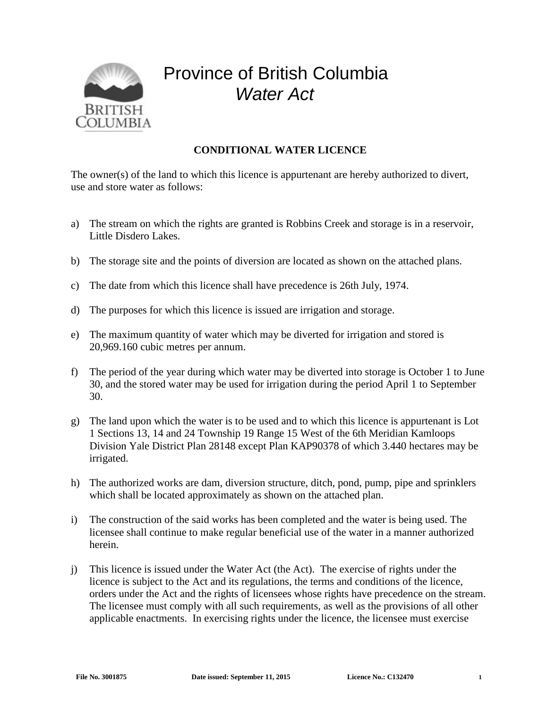

## Province of British Columbia *Water Act*

## **CONDITIONAL WATER LICENCE**

The owner(s) of the land to which this licence is appurtenant are hereby authorized to divert, use and store water as follows:

- a) The stream on which the rights are granted is Robbins Creek and storage is in a reservoir, Little Disdero Lakes.
- b) The storage site and the points of diversion are located as shown on the attached plans.
- c) The date from which this licence shall have precedence is 26th July, 1974.
- d) The purposes for which this licence is issued are irrigation and storage.
- e) The maximum quantity of water which may be diverted for irrigation and stored is 20,969.160 cubic metres per annum.
- f) The period of the year during which water may be diverted into storage is October 1 to June 30, and the stored water may be used for irrigation during the period April 1 to September 30.
- g) The land upon which the water is to be used and to which this licence is appurtenant is Lot 1 Sections 13, 14 and 24 Township 19 Range 15 West of the 6th Meridian Kamloops Division Yale District Plan 28148 except Plan KAP90378 of which 3.440 hectares may be irrigated.
- h) The authorized works are dam, diversion structure, ditch, pond, pump, pipe and sprinklers which shall be located approximately as shown on the attached plan.
- i) The construction of the said works has been completed and the water is being used. The licensee shall continue to make regular beneficial use of the water in a manner authorized herein.
- j) This licence is issued under the Water Act (the Act). The exercise of rights under the licence is subject to the Act and its regulations, the terms and conditions of the licence, orders under the Act and the rights of licensees whose rights have precedence on the stream. The licensee must comply with all such requirements, as well as the provisions of all other applicable enactments. In exercising rights under the licence, the licensee must exercise